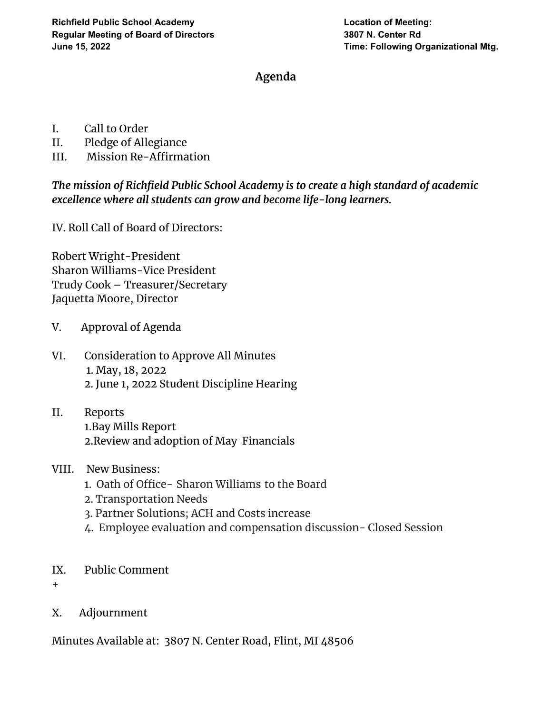## **Agenda**

- I. Call to Order
- II. Pledge of Allegiance
- III. Mission Re-Affirmation

*The mission of Richfield Public School Academy is to create a high standard of academic excellence where all students can grow and become life-long learners.*

IV. Roll Call of Board of Directors:

Robert Wright-President Sharon Williams-Vice President Trudy Cook – Treasurer/Secretary Jaquetta Moore, Director

- V. Approval of Agenda
- VI. Consideration to Approve All Minutes 1. May, 18, 2022 2. June 1, 2022 Student Discipline Hearing
- II. Reports 1.Bay Mills Report 2.Review and adoption of May Financials
- VIII. New Business:
	- 1. Oath of Office- Sharon Williams to the Board
	- 2. Transportation Needs
	- 3. Partner Solutions; ACH and Costs increase
	- 4. Employee evaluation and compensation discussion- Closed Session
- IX. Public Comment
- +
- X. Adjournment

Minutes Available at: 3807 N. Center Road, Flint, MI 48506